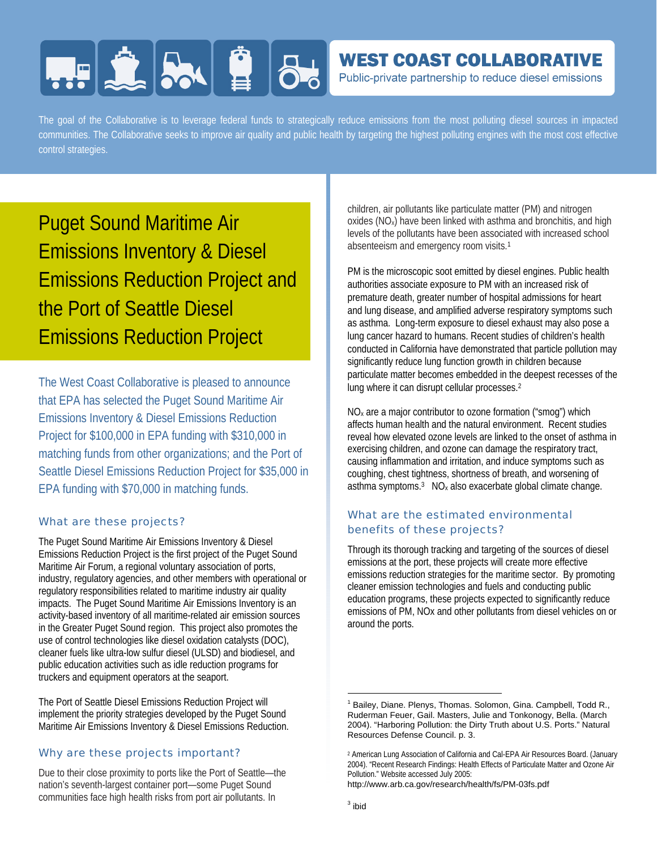# **FIELD AND BL**

# **WEST COAST COLLABORATIVE**

Public-private partnership to reduce diesel emissions

The goal of the Collaborative is to leverage federal funds to strategically reduce emissions from the most polluting diesel sources in impacted communities. The Collaborative seeks to improve air quality and public health by targeting the highest polluting engines with the most cost effective control strategies.

Puget Sound Maritime Air Emissions Inventory & Diesel Emissions Reduction Project and the Port of Seattle Diesel Emissions Reduction Project

The West Coast Collaborative is pleased to announce that EPA has selected the Puget Sound Maritime Air Emissions Inventory & Diesel Emissions Reduction Project for \$100,000 in EPA funding with \$310,000 in matching funds from other organizations; and the Port of Seattle Diesel Emissions Reduction Project for \$35,000 in EPA funding with \$70,000 in matching funds.

# What are these projects?

The Puget Sound Maritime Air Emissions Inventory & Diesel Emissions Reduction Project is the first project of the Puget Sound Maritime Air Forum, a regional voluntary association of ports, industry, regulatory agencies, and other members with operational or regulatory responsibilities related to maritime industry air quality impacts. The Puget Sound Maritime Air Emissions Inventory is an activity-based inventory of all maritime-related air emission sources in the Greater Puget Sound region. This project also promotes the use of control technologies like diesel oxidation catalysts (DOC), cleaner fuels like ultra-low sulfur diesel (ULSD) and biodiesel, and public education activities such as idle reduction programs for truckers and equipment operators at the seaport.

The Port of Seattle Diesel Emissions Reduction Project will implement the priority strategies developed by the Puget Sound Maritime Air Emissions Inventory & Diesel Emissions Reduction.

# Why are these projects important?

Due to their close proximity to ports like the Port of Seattle—the nation's seventh-largest container port—some Puget Sound communities face high health risks from port air pollutants. In

children, air pollutants like particulate matter (PM) and nitrogen oxides (NOx) have been linked with asthma and bronchitis, and high levels of the pollutants have been associated with increased school absenteeism and emergency room visits.1

PM is the microscopic soot emitted by diesel engines. Public health authorities associate exposure to PM with an increased risk of premature death, greater number of hospital admissions for heart and lung disease, and amplified adverse respiratory symptoms such as asthma. Long-term exposure to diesel exhaust may also pose a lung cancer hazard to humans. Recent studies of children's health conducted in California have demonstrated that particle pollution may significantly reduce lung function growth in children because particulate matter becomes embedded in the deepest recesses of the lung where it can disrupt cellular processes.2

NOx are a major contributor to ozone formation ("smog") which affects human health and the natural environment. Recent studies reveal how elevated ozone levels are linked to the onset of asthma in exercising children, and ozone can damage the respiratory tract, causing inflammation and irritation, and induce symptoms such as coughing, chest tightness, shortness of breath, and worsening of asthma symptoms. $3 \text{ NO}_x$  also exacerbate global climate change.

# What are the estimated environmental benefits of these projects?

Through its thorough tracking and targeting of the sources of diesel emissions at the port, these projects will create more effective emissions reduction strategies for the maritime sector. By promoting cleaner emission technologies and fuels and conducting public education programs, these projects expected to significantly reduce emissions of PM, NOx and other pollutants from diesel vehicles on or around the ports.

http://www.arb.ca.gov/research/health/fs/PM-03fs.pdf

 $\overline{\phantom{a}}$ 

<sup>&</sup>lt;sup>1</sup> Bailey, Diane. Plenys, Thomas. Solomon, Gina. Campbell, Todd R., Ruderman Feuer, Gail. Masters, Julie and Tonkonogy, Bella. (March 2004). "Harboring Pollution: the Dirty Truth about U.S. Ports." Natural Resources Defense Council. p. 3.

<sup>2</sup> American Lung Association of California and Cal-EPA Air Resources Board. (January 2004). "Recent Research Findings: Health Effects of Particulate Matter and Ozone Air Pollution." Website accessed July 2005: